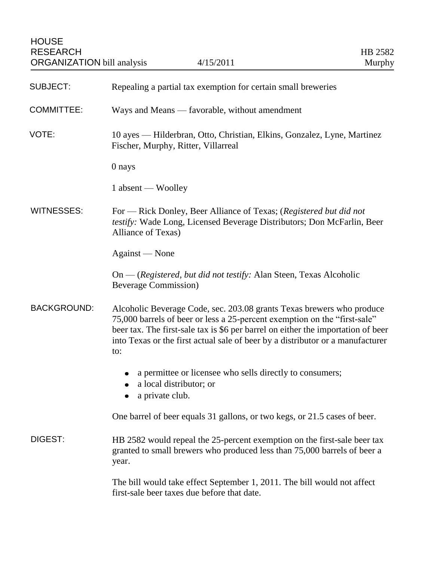| <b>SUBJECT:</b>    | Repealing a partial tax exemption for certain small breweries                                                                                                                                                                                                                                                                   |
|--------------------|---------------------------------------------------------------------------------------------------------------------------------------------------------------------------------------------------------------------------------------------------------------------------------------------------------------------------------|
| <b>COMMITTEE:</b>  | Ways and Means — favorable, without amendment                                                                                                                                                                                                                                                                                   |
| VOTE:              | 10 ayes — Hilderbran, Otto, Christian, Elkins, Gonzalez, Lyne, Martinez<br>Fischer, Murphy, Ritter, Villarreal                                                                                                                                                                                                                  |
|                    | 0 nays                                                                                                                                                                                                                                                                                                                          |
|                    | 1 absent — Woolley                                                                                                                                                                                                                                                                                                              |
| <b>WITNESSES:</b>  | For — Rick Donley, Beer Alliance of Texas; (Registered but did not<br>testify: Wade Long, Licensed Beverage Distributors; Don McFarlin, Beer<br>Alliance of Texas)                                                                                                                                                              |
|                    | Against — None                                                                                                                                                                                                                                                                                                                  |
|                    | On — (Registered, but did not testify: Alan Steen, Texas Alcoholic<br><b>Beverage Commission</b> )                                                                                                                                                                                                                              |
| <b>BACKGROUND:</b> | Alcoholic Beverage Code, sec. 203.08 grants Texas brewers who produce<br>75,000 barrels of beer or less a 25-percent exemption on the "first-sale"<br>beer tax. The first-sale tax is \$6 per barrel on either the importation of beer<br>into Texas or the first actual sale of beer by a distributor or a manufacturer<br>to: |
|                    | a permittee or licensee who sells directly to consumers;<br>٠<br>a local distributor; or<br>a private club.                                                                                                                                                                                                                     |
|                    | One barrel of beer equals 31 gallons, or two kegs, or 21.5 cases of beer.                                                                                                                                                                                                                                                       |
| DIGEST:            | HB 2582 would repeal the 25-percent exemption on the first-sale beer tax<br>granted to small brewers who produced less than 75,000 barrels of beer a<br>year.                                                                                                                                                                   |
|                    | The bill would take effect September 1, 2011. The bill would not affect<br>first-sale beer taxes due before that date.                                                                                                                                                                                                          |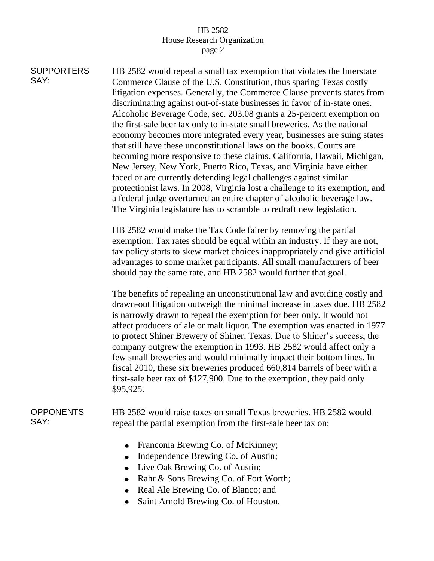## HB 2582 House Research Organization page 2

**SUPPORTERS** SAY: HB 2582 would repeal a small tax exemption that violates the Interstate Commerce Clause of the U.S. Constitution, thus sparing Texas costly litigation expenses. Generally, the Commerce Clause prevents states from discriminating against out-of-state businesses in favor of in-state ones. Alcoholic Beverage Code, sec. 203.08 grants a 25-percent exemption on the first-sale beer tax only to in-state small breweries. As the national economy becomes more integrated every year, businesses are suing states that still have these unconstitutional laws on the books. Courts are becoming more responsive to these claims. California, Hawaii, Michigan, New Jersey, New York, Puerto Rico, Texas, and Virginia have either faced or are currently defending legal challenges against similar protectionist laws. In 2008, Virginia lost a challenge to its exemption, and a federal judge overturned an entire chapter of alcoholic beverage law. The Virginia legislature has to scramble to redraft new legislation.

> HB 2582 would make the Tax Code fairer by removing the partial exemption. Tax rates should be equal within an industry. If they are not, tax policy starts to skew market choices inappropriately and give artificial advantages to some market participants. All small manufacturers of beer should pay the same rate, and HB 2582 would further that goal.

> The benefits of repealing an unconstitutional law and avoiding costly and drawn-out litigation outweigh the minimal increase in taxes due. HB 2582 is narrowly drawn to repeal the exemption for beer only. It would not affect producers of ale or malt liquor. The exemption was enacted in 1977 to protect Shiner Brewery of Shiner, Texas. Due to Shiner's success, the company outgrew the exemption in 1993. HB 2582 would affect only a few small breweries and would minimally impact their bottom lines. In fiscal 2010, these six breweries produced 660,814 barrels of beer with a first-sale beer tax of \$127,900. Due to the exemption, they paid only \$95,925.

## **OPPONENTS** SAY:

HB 2582 would raise taxes on small Texas breweries. HB 2582 would repeal the partial exemption from the first-sale beer tax on:

- Franconia Brewing Co. of McKinney;
- Independence Brewing Co. of Austin;
- Live Oak Brewing Co. of Austin;
- Rahr & Sons Brewing Co. of Fort Worth;
- Real Ale Brewing Co. of Blanco; and
- Saint Arnold Brewing Co. of Houston. $\bullet$